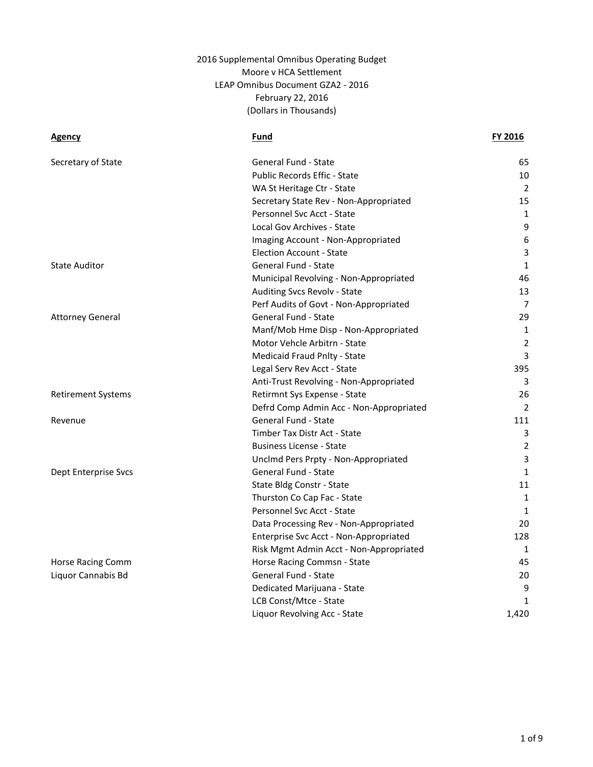| Secretary of State        | General Fund - State                    | 65             |
|---------------------------|-----------------------------------------|----------------|
|                           | Public Records Effic - State            | 10             |
|                           | WA St Heritage Ctr - State              | 2              |
|                           | Secretary State Rev - Non-Appropriated  | 15             |
|                           | Personnel Svc Acct - State              | 1              |
|                           | Local Gov Archives - State              | 9              |
|                           | Imaging Account - Non-Appropriated      | 6              |
|                           | <b>Election Account - State</b>         | $\overline{3}$ |
| <b>State Auditor</b>      | <b>General Fund - State</b>             | 1              |
|                           | Municipal Revolving - Non-Appropriated  | 46             |
|                           | Auditing Svcs Revolv - State            | 13             |
|                           | Perf Audits of Govt - Non-Appropriated  | $\overline{7}$ |
| <b>Attorney General</b>   | General Fund - State                    | 29             |
|                           | Manf/Mob Hme Disp - Non-Appropriated    | 1              |
|                           | Motor Vehcle Arbitrn - State            | $\overline{2}$ |
|                           | Medicaid Fraud Pnlty - State            | 3              |
|                           | Legal Serv Rev Acct - State             | 395            |
|                           | Anti-Trust Revolving - Non-Appropriated | 3              |
| <b>Retirement Systems</b> | Retirmnt Sys Expense - State            | 26             |
|                           | Defrd Comp Admin Acc - Non-Appropriated | 2              |
| Revenue                   | General Fund - State                    | 111            |
|                           | Timber Tax Distr Act - State            | 3              |
|                           | <b>Business License - State</b>         | 2              |
|                           | Unclmd Pers Prpty - Non-Appropriated    | 3              |
| Dept Enterprise Svcs      | General Fund - State                    | $\mathbf{1}$   |
|                           | State Bldg Constr - State               | 11             |
|                           | Thurston Co Cap Fac - State             | 1              |
|                           | Personnel Svc Acct - State              | 1              |
|                           | Data Processing Rev - Non-Appropriated  | 20             |
|                           | Enterprise Svc Acct - Non-Appropriated  | 128            |
|                           | Risk Mgmt Admin Acct - Non-Appropriated | 1              |
| Horse Racing Comm         | Horse Racing Commsn - State             | 45             |
| Liquor Cannabis Bd        | General Fund - State                    | 20             |
|                           | Dedicated Marijuana - State             | 9              |
|                           | LCB Const/Mtce - State                  | 1              |
|                           | Liquor Revolving Acc - State            | 1,420          |
|                           |                                         |                |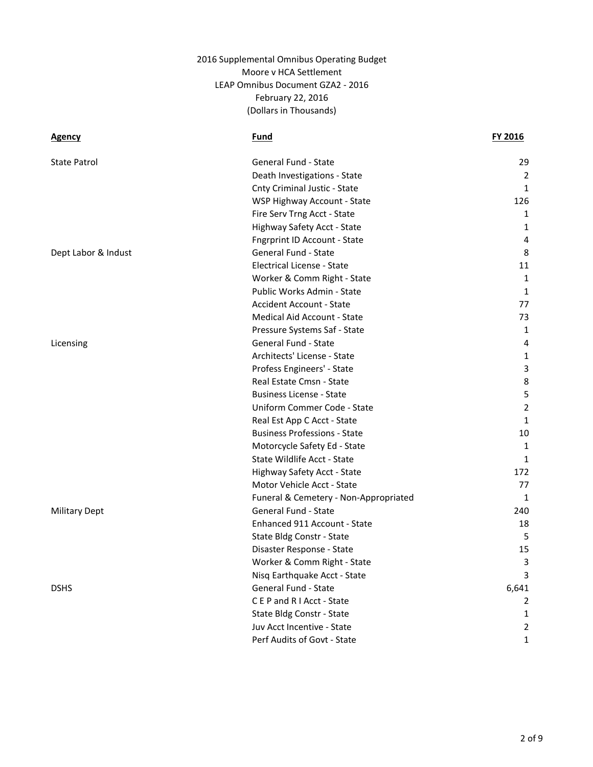| <b>State Patrol</b>  | General Fund - State                  | 29             |
|----------------------|---------------------------------------|----------------|
|                      | Death Investigations - State          | $\overline{2}$ |
|                      | Cnty Criminal Justic - State          | $\mathbf{1}$   |
|                      | WSP Highway Account - State           | 126            |
|                      | Fire Serv Trng Acct - State           | $\mathbf{1}$   |
|                      | Highway Safety Acct - State           | 1              |
|                      | <b>Fngrprint ID Account - State</b>   | 4              |
| Dept Labor & Indust  | General Fund - State                  | 8              |
|                      | Electrical License - State            | 11             |
|                      | Worker & Comm Right - State           | 1              |
|                      | Public Works Admin - State            | 1              |
|                      | <b>Accident Account - State</b>       | 77             |
|                      | Medical Aid Account - State           | 73             |
|                      | Pressure Systems Saf - State          | 1              |
| Licensing            | General Fund - State                  | 4              |
|                      | Architects' License - State           | $\mathbf{1}$   |
|                      | Profess Engineers' - State            | 3              |
|                      | Real Estate Cmsn - State              | 8              |
|                      | <b>Business License - State</b>       | 5              |
|                      | Uniform Commer Code - State           | $\overline{2}$ |
|                      | Real Est App C Acct - State           | $\mathbf{1}$   |
|                      | <b>Business Professions - State</b>   | 10             |
|                      | Motorcycle Safety Ed - State          | $\mathbf{1}$   |
|                      | State Wildlife Acct - State           | 1              |
|                      | Highway Safety Acct - State           | 172            |
|                      | Motor Vehicle Acct - State            | 77             |
|                      | Funeral & Cemetery - Non-Appropriated | $\mathbf{1}$   |
| <b>Military Dept</b> | General Fund - State                  | 240            |
|                      | Enhanced 911 Account - State          | 18             |
|                      | State Bldg Constr - State             | 5              |
|                      | Disaster Response - State             | 15             |
|                      | Worker & Comm Right - State           | 3              |
|                      | Nisq Earthquake Acct - State          | 3              |
| <b>DSHS</b>          | General Fund - State                  | 6,641          |
|                      | CEP and RIAcct - State                | 2              |
|                      | State Bldg Constr - State             | 1              |
|                      | Juv Acct Incentive - State            | $\overline{2}$ |
|                      | Perf Audits of Govt - State           | $\mathbf{1}$   |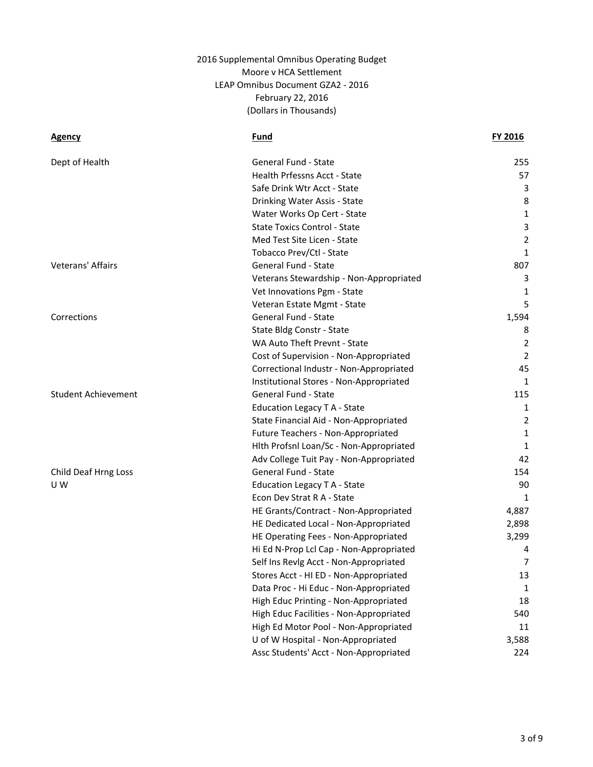| Dept of Health             | General Fund - State                    | 255            |
|----------------------------|-----------------------------------------|----------------|
|                            | <b>Health Prfessns Acct - State</b>     | 57             |
|                            | Safe Drink Wtr Acct - State             | 3              |
|                            | Drinking Water Assis - State            | 8              |
|                            | Water Works Op Cert - State             | 1              |
|                            | <b>State Toxics Control - State</b>     | 3              |
|                            | Med Test Site Licen - State             | $\overline{2}$ |
|                            | Tobacco Prev/Ctl - State                | 1              |
| Veterans' Affairs          | General Fund - State                    | 807            |
|                            | Veterans Stewardship - Non-Appropriated | 3              |
|                            | Vet Innovations Pgm - State             | 1              |
|                            | Veteran Estate Mgmt - State             | 5              |
| Corrections                | <b>General Fund - State</b>             | 1,594          |
|                            | State Bldg Constr - State               | 8              |
|                            | WA Auto Theft Prevnt - State            | 2              |
|                            | Cost of Supervision - Non-Appropriated  | $\overline{2}$ |
|                            | Correctional Industr - Non-Appropriated | 45             |
|                            | Institutional Stores - Non-Appropriated | 1              |
| <b>Student Achievement</b> | <b>General Fund - State</b>             | 115            |
|                            | Education Legacy T A - State            | 1              |
|                            | State Financial Aid - Non-Appropriated  | 2              |
|                            | Future Teachers - Non-Appropriated      | 1              |
|                            | Hith Profsni Loan/Sc - Non-Appropriated | 1              |
|                            | Adv College Tuit Pay - Non-Appropriated | 42             |
| Child Deaf Hrng Loss       | General Fund - State                    | 154            |
| U W                        | Education Legacy T A - State            | 90             |
|                            | Econ Dev Strat R A - State              | 1              |
|                            | HE Grants/Contract - Non-Appropriated   | 4,887          |
|                            | HE Dedicated Local - Non-Appropriated   | 2,898          |
|                            | HE Operating Fees - Non-Appropriated    | 3,299          |
|                            | Hi Ed N-Prop Lcl Cap - Non-Appropriated | 4              |
|                            | Self Ins Revlg Acct - Non-Appropriated  | 7              |
|                            | Stores Acct - HI ED - Non-Appropriated  | 13             |
|                            | Data Proc - Hi Educ - Non-Appropriated  | $\mathbf{1}$   |
|                            | High Educ Printing - Non-Appropriated   | 18             |
|                            | High Educ Facilities - Non-Appropriated | 540            |
|                            | High Ed Motor Pool - Non-Appropriated   | 11             |
|                            | U of W Hospital - Non-Appropriated      | 3,588          |
|                            | Assc Students' Acct - Non-Appropriated  | 224            |
|                            |                                         |                |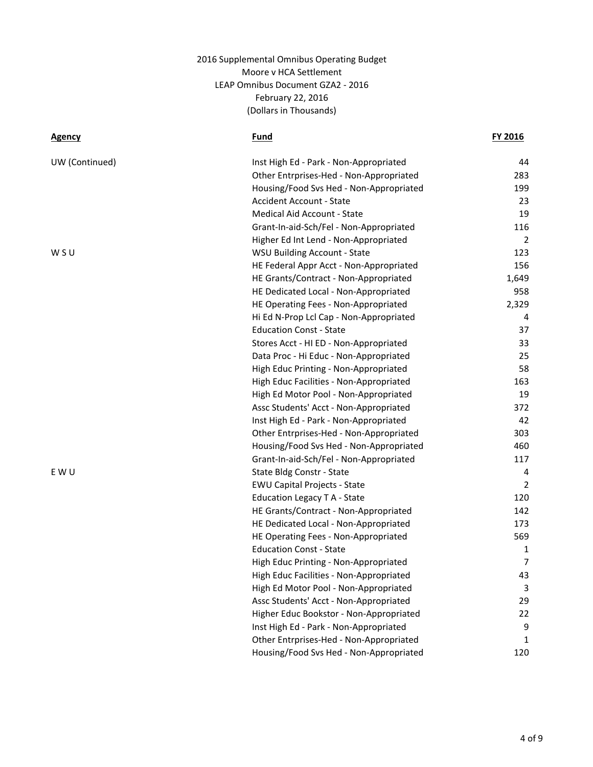| UW (Continued) | Inst High Ed - Park - Non-Appropriated  | 44    |
|----------------|-----------------------------------------|-------|
|                | Other Entrprises-Hed - Non-Appropriated | 283   |
|                | Housing/Food Svs Hed - Non-Appropriated | 199   |
|                | <b>Accident Account - State</b>         | 23    |
|                | Medical Aid Account - State             | 19    |
|                | Grant-In-aid-Sch/Fel - Non-Appropriated | 116   |
|                | Higher Ed Int Lend - Non-Appropriated   | 2     |
| W S U          | <b>WSU Building Account - State</b>     | 123   |
|                | HE Federal Appr Acct - Non-Appropriated | 156   |
|                | HE Grants/Contract - Non-Appropriated   | 1,649 |
|                | HE Dedicated Local - Non-Appropriated   | 958   |
|                | HE Operating Fees - Non-Appropriated    | 2,329 |
|                | Hi Ed N-Prop Lcl Cap - Non-Appropriated | 4     |
|                | <b>Education Const - State</b>          | 37    |
|                | Stores Acct - HI ED - Non-Appropriated  | 33    |
|                | Data Proc - Hi Educ - Non-Appropriated  | 25    |
|                | High Educ Printing - Non-Appropriated   | 58    |
|                | High Educ Facilities - Non-Appropriated | 163   |
|                | High Ed Motor Pool - Non-Appropriated   | 19    |
|                | Assc Students' Acct - Non-Appropriated  | 372   |
|                | Inst High Ed - Park - Non-Appropriated  | 42    |
|                | Other Entrprises-Hed - Non-Appropriated | 303   |
|                | Housing/Food Svs Hed - Non-Appropriated | 460   |
|                | Grant-In-aid-Sch/Fel - Non-Appropriated | 117   |
| E W U          | State Bldg Constr - State               | 4     |
|                | <b>EWU Capital Projects - State</b>     | 2     |
|                | Education Legacy T A - State            | 120   |
|                | HE Grants/Contract - Non-Appropriated   | 142   |
|                | HE Dedicated Local - Non-Appropriated   | 173   |
|                | HE Operating Fees - Non-Appropriated    | 569   |
|                | <b>Education Const - State</b>          | 1     |
|                | High Educ Printing - Non-Appropriated   | 7     |
|                | High Educ Facilities - Non-Appropriated | 43    |
|                | High Ed Motor Pool - Non-Appropriated   | 3     |
|                | Assc Students' Acct - Non-Appropriated  | 29    |
|                | Higher Educ Bookstor - Non-Appropriated | 22    |
|                | Inst High Ed - Park - Non-Appropriated  | 9     |
|                | Other Entrprises-Hed - Non-Appropriated | 1     |
|                | Housing/Food Svs Hed - Non-Appropriated | 120   |
|                |                                         |       |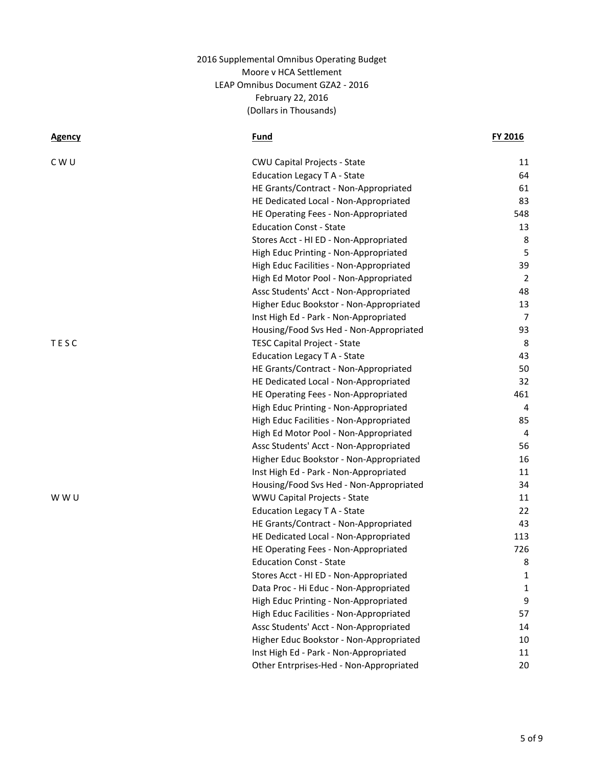| C W U<br><b>CWU Capital Projects - State</b><br>Education Legacy T A - State<br>HE Grants/Contract - Non-Appropriated<br>HE Dedicated Local - Non-Appropriated<br>HE Operating Fees - Non-Appropriated<br><b>Education Const - State</b><br>Stores Acct - HI ED - Non-Appropriated<br>High Educ Printing - Non-Appropriated<br>High Educ Facilities - Non-Appropriated<br>High Ed Motor Pool - Non-Appropriated<br>Assc Students' Acct - Non-Appropriated<br>Higher Educ Bookstor - Non-Appropriated<br>Inst High Ed - Park - Non-Appropriated<br>Housing/Food Svs Hed - Non-Appropriated<br>TESC<br><b>TESC Capital Project - State</b><br><b>Education Legacy T A - State</b><br>HE Grants/Contract - Non-Appropriated<br>HE Dedicated Local - Non-Appropriated<br>HE Operating Fees - Non-Appropriated<br>High Educ Printing - Non-Appropriated<br>High Educ Facilities - Non-Appropriated<br>High Ed Motor Pool - Non-Appropriated<br>Assc Students' Acct - Non-Appropriated<br>Higher Educ Bookstor - Non-Appropriated<br>Inst High Ed - Park - Non-Appropriated<br>Housing/Food Svs Hed - Non-Appropriated<br>WWU Capital Projects - State<br>w w u<br>Education Legacy T A - State<br>HE Grants/Contract - Non-Appropriated<br>HE Dedicated Local - Non-Appropriated<br>HE Operating Fees - Non-Appropriated<br><b>Education Const - State</b><br>Stores Acct - HI ED - Non-Appropriated<br>Data Proc - Hi Educ - Non-Appropriated<br>High Educ Printing - Non-Appropriated<br>High Educ Facilities - Non-Appropriated<br>Assc Students' Acct - Non-Appropriated<br>Higher Educ Bookstor - Non-Appropriated<br>Inst High Ed - Park - Non-Appropriated | <u>Agency</u> | <u>Fund</u> | FY 2016        |
|--------------------------------------------------------------------------------------------------------------------------------------------------------------------------------------------------------------------------------------------------------------------------------------------------------------------------------------------------------------------------------------------------------------------------------------------------------------------------------------------------------------------------------------------------------------------------------------------------------------------------------------------------------------------------------------------------------------------------------------------------------------------------------------------------------------------------------------------------------------------------------------------------------------------------------------------------------------------------------------------------------------------------------------------------------------------------------------------------------------------------------------------------------------------------------------------------------------------------------------------------------------------------------------------------------------------------------------------------------------------------------------------------------------------------------------------------------------------------------------------------------------------------------------------------------------------------------------------------------------------------------------------------------------|---------------|-------------|----------------|
|                                                                                                                                                                                                                                                                                                                                                                                                                                                                                                                                                                                                                                                                                                                                                                                                                                                                                                                                                                                                                                                                                                                                                                                                                                                                                                                                                                                                                                                                                                                                                                                                                                                              |               |             | 11             |
|                                                                                                                                                                                                                                                                                                                                                                                                                                                                                                                                                                                                                                                                                                                                                                                                                                                                                                                                                                                                                                                                                                                                                                                                                                                                                                                                                                                                                                                                                                                                                                                                                                                              |               |             | 64             |
|                                                                                                                                                                                                                                                                                                                                                                                                                                                                                                                                                                                                                                                                                                                                                                                                                                                                                                                                                                                                                                                                                                                                                                                                                                                                                                                                                                                                                                                                                                                                                                                                                                                              |               |             | 61             |
|                                                                                                                                                                                                                                                                                                                                                                                                                                                                                                                                                                                                                                                                                                                                                                                                                                                                                                                                                                                                                                                                                                                                                                                                                                                                                                                                                                                                                                                                                                                                                                                                                                                              |               |             | 83             |
|                                                                                                                                                                                                                                                                                                                                                                                                                                                                                                                                                                                                                                                                                                                                                                                                                                                                                                                                                                                                                                                                                                                                                                                                                                                                                                                                                                                                                                                                                                                                                                                                                                                              |               |             | 548            |
|                                                                                                                                                                                                                                                                                                                                                                                                                                                                                                                                                                                                                                                                                                                                                                                                                                                                                                                                                                                                                                                                                                                                                                                                                                                                                                                                                                                                                                                                                                                                                                                                                                                              |               |             | 13             |
|                                                                                                                                                                                                                                                                                                                                                                                                                                                                                                                                                                                                                                                                                                                                                                                                                                                                                                                                                                                                                                                                                                                                                                                                                                                                                                                                                                                                                                                                                                                                                                                                                                                              |               |             | 8              |
|                                                                                                                                                                                                                                                                                                                                                                                                                                                                                                                                                                                                                                                                                                                                                                                                                                                                                                                                                                                                                                                                                                                                                                                                                                                                                                                                                                                                                                                                                                                                                                                                                                                              |               |             | 5              |
|                                                                                                                                                                                                                                                                                                                                                                                                                                                                                                                                                                                                                                                                                                                                                                                                                                                                                                                                                                                                                                                                                                                                                                                                                                                                                                                                                                                                                                                                                                                                                                                                                                                              |               |             | 39             |
|                                                                                                                                                                                                                                                                                                                                                                                                                                                                                                                                                                                                                                                                                                                                                                                                                                                                                                                                                                                                                                                                                                                                                                                                                                                                                                                                                                                                                                                                                                                                                                                                                                                              |               |             | $\overline{2}$ |
|                                                                                                                                                                                                                                                                                                                                                                                                                                                                                                                                                                                                                                                                                                                                                                                                                                                                                                                                                                                                                                                                                                                                                                                                                                                                                                                                                                                                                                                                                                                                                                                                                                                              |               |             | 48             |
|                                                                                                                                                                                                                                                                                                                                                                                                                                                                                                                                                                                                                                                                                                                                                                                                                                                                                                                                                                                                                                                                                                                                                                                                                                                                                                                                                                                                                                                                                                                                                                                                                                                              |               |             | 13             |
|                                                                                                                                                                                                                                                                                                                                                                                                                                                                                                                                                                                                                                                                                                                                                                                                                                                                                                                                                                                                                                                                                                                                                                                                                                                                                                                                                                                                                                                                                                                                                                                                                                                              |               |             | 7              |
|                                                                                                                                                                                                                                                                                                                                                                                                                                                                                                                                                                                                                                                                                                                                                                                                                                                                                                                                                                                                                                                                                                                                                                                                                                                                                                                                                                                                                                                                                                                                                                                                                                                              |               |             | 93             |
|                                                                                                                                                                                                                                                                                                                                                                                                                                                                                                                                                                                                                                                                                                                                                                                                                                                                                                                                                                                                                                                                                                                                                                                                                                                                                                                                                                                                                                                                                                                                                                                                                                                              |               |             | 8              |
|                                                                                                                                                                                                                                                                                                                                                                                                                                                                                                                                                                                                                                                                                                                                                                                                                                                                                                                                                                                                                                                                                                                                                                                                                                                                                                                                                                                                                                                                                                                                                                                                                                                              |               |             | 43             |
|                                                                                                                                                                                                                                                                                                                                                                                                                                                                                                                                                                                                                                                                                                                                                                                                                                                                                                                                                                                                                                                                                                                                                                                                                                                                                                                                                                                                                                                                                                                                                                                                                                                              |               |             | 50             |
|                                                                                                                                                                                                                                                                                                                                                                                                                                                                                                                                                                                                                                                                                                                                                                                                                                                                                                                                                                                                                                                                                                                                                                                                                                                                                                                                                                                                                                                                                                                                                                                                                                                              |               |             | 32             |
|                                                                                                                                                                                                                                                                                                                                                                                                                                                                                                                                                                                                                                                                                                                                                                                                                                                                                                                                                                                                                                                                                                                                                                                                                                                                                                                                                                                                                                                                                                                                                                                                                                                              |               |             | 461            |
|                                                                                                                                                                                                                                                                                                                                                                                                                                                                                                                                                                                                                                                                                                                                                                                                                                                                                                                                                                                                                                                                                                                                                                                                                                                                                                                                                                                                                                                                                                                                                                                                                                                              |               |             | 4              |
|                                                                                                                                                                                                                                                                                                                                                                                                                                                                                                                                                                                                                                                                                                                                                                                                                                                                                                                                                                                                                                                                                                                                                                                                                                                                                                                                                                                                                                                                                                                                                                                                                                                              |               |             | 85             |
|                                                                                                                                                                                                                                                                                                                                                                                                                                                                                                                                                                                                                                                                                                                                                                                                                                                                                                                                                                                                                                                                                                                                                                                                                                                                                                                                                                                                                                                                                                                                                                                                                                                              |               |             | $\overline{4}$ |
|                                                                                                                                                                                                                                                                                                                                                                                                                                                                                                                                                                                                                                                                                                                                                                                                                                                                                                                                                                                                                                                                                                                                                                                                                                                                                                                                                                                                                                                                                                                                                                                                                                                              |               |             | 56             |
|                                                                                                                                                                                                                                                                                                                                                                                                                                                                                                                                                                                                                                                                                                                                                                                                                                                                                                                                                                                                                                                                                                                                                                                                                                                                                                                                                                                                                                                                                                                                                                                                                                                              |               |             | 16             |
|                                                                                                                                                                                                                                                                                                                                                                                                                                                                                                                                                                                                                                                                                                                                                                                                                                                                                                                                                                                                                                                                                                                                                                                                                                                                                                                                                                                                                                                                                                                                                                                                                                                              |               |             | 11             |
|                                                                                                                                                                                                                                                                                                                                                                                                                                                                                                                                                                                                                                                                                                                                                                                                                                                                                                                                                                                                                                                                                                                                                                                                                                                                                                                                                                                                                                                                                                                                                                                                                                                              |               |             | 34             |
|                                                                                                                                                                                                                                                                                                                                                                                                                                                                                                                                                                                                                                                                                                                                                                                                                                                                                                                                                                                                                                                                                                                                                                                                                                                                                                                                                                                                                                                                                                                                                                                                                                                              |               |             | 11             |
|                                                                                                                                                                                                                                                                                                                                                                                                                                                                                                                                                                                                                                                                                                                                                                                                                                                                                                                                                                                                                                                                                                                                                                                                                                                                                                                                                                                                                                                                                                                                                                                                                                                              |               |             | 22             |
|                                                                                                                                                                                                                                                                                                                                                                                                                                                                                                                                                                                                                                                                                                                                                                                                                                                                                                                                                                                                                                                                                                                                                                                                                                                                                                                                                                                                                                                                                                                                                                                                                                                              |               |             | 43             |
|                                                                                                                                                                                                                                                                                                                                                                                                                                                                                                                                                                                                                                                                                                                                                                                                                                                                                                                                                                                                                                                                                                                                                                                                                                                                                                                                                                                                                                                                                                                                                                                                                                                              |               |             | 113            |
|                                                                                                                                                                                                                                                                                                                                                                                                                                                                                                                                                                                                                                                                                                                                                                                                                                                                                                                                                                                                                                                                                                                                                                                                                                                                                                                                                                                                                                                                                                                                                                                                                                                              |               |             | 726            |
|                                                                                                                                                                                                                                                                                                                                                                                                                                                                                                                                                                                                                                                                                                                                                                                                                                                                                                                                                                                                                                                                                                                                                                                                                                                                                                                                                                                                                                                                                                                                                                                                                                                              |               |             | 8              |
|                                                                                                                                                                                                                                                                                                                                                                                                                                                                                                                                                                                                                                                                                                                                                                                                                                                                                                                                                                                                                                                                                                                                                                                                                                                                                                                                                                                                                                                                                                                                                                                                                                                              |               |             | 1              |
|                                                                                                                                                                                                                                                                                                                                                                                                                                                                                                                                                                                                                                                                                                                                                                                                                                                                                                                                                                                                                                                                                                                                                                                                                                                                                                                                                                                                                                                                                                                                                                                                                                                              |               |             | 1              |
|                                                                                                                                                                                                                                                                                                                                                                                                                                                                                                                                                                                                                                                                                                                                                                                                                                                                                                                                                                                                                                                                                                                                                                                                                                                                                                                                                                                                                                                                                                                                                                                                                                                              |               |             | 9              |
|                                                                                                                                                                                                                                                                                                                                                                                                                                                                                                                                                                                                                                                                                                                                                                                                                                                                                                                                                                                                                                                                                                                                                                                                                                                                                                                                                                                                                                                                                                                                                                                                                                                              |               |             | 57             |
|                                                                                                                                                                                                                                                                                                                                                                                                                                                                                                                                                                                                                                                                                                                                                                                                                                                                                                                                                                                                                                                                                                                                                                                                                                                                                                                                                                                                                                                                                                                                                                                                                                                              |               |             | 14             |
|                                                                                                                                                                                                                                                                                                                                                                                                                                                                                                                                                                                                                                                                                                                                                                                                                                                                                                                                                                                                                                                                                                                                                                                                                                                                                                                                                                                                                                                                                                                                                                                                                                                              |               |             | 10             |
|                                                                                                                                                                                                                                                                                                                                                                                                                                                                                                                                                                                                                                                                                                                                                                                                                                                                                                                                                                                                                                                                                                                                                                                                                                                                                                                                                                                                                                                                                                                                                                                                                                                              |               |             | 11             |
| Other Entrprises-Hed - Non-Appropriated                                                                                                                                                                                                                                                                                                                                                                                                                                                                                                                                                                                                                                                                                                                                                                                                                                                                                                                                                                                                                                                                                                                                                                                                                                                                                                                                                                                                                                                                                                                                                                                                                      |               |             | 20             |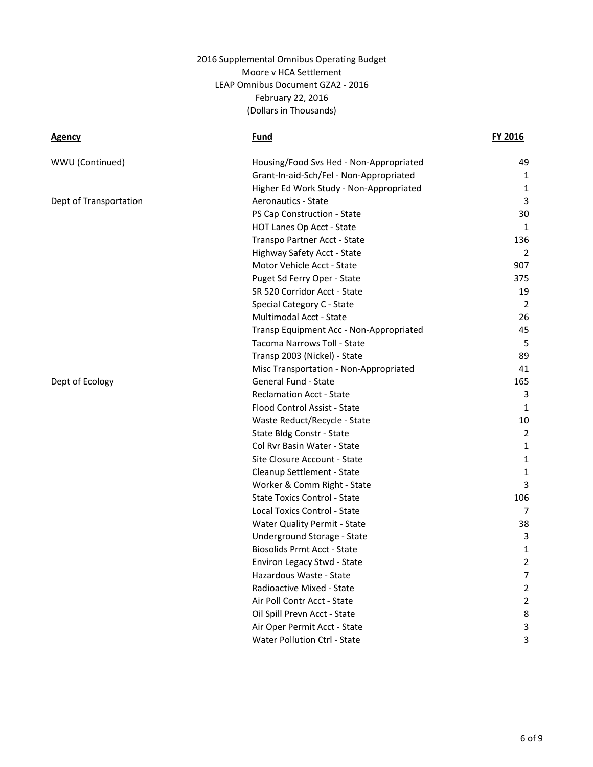| WWU (Continued)        | Housing/Food Svs Hed - Non-Appropriated | 49             |
|------------------------|-----------------------------------------|----------------|
|                        | Grant-In-aid-Sch/Fel - Non-Appropriated | 1              |
|                        | Higher Ed Work Study - Non-Appropriated | 1              |
| Dept of Transportation | Aeronautics - State                     | 3              |
|                        | PS Cap Construction - State             | 30             |
|                        | HOT Lanes Op Acct - State               | $\mathbf{1}$   |
|                        | Transpo Partner Acct - State            | 136            |
|                        | Highway Safety Acct - State             | $\overline{2}$ |
|                        | Motor Vehicle Acct - State              | 907            |
|                        | Puget Sd Ferry Oper - State             | 375            |
|                        | SR 520 Corridor Acct - State            | 19             |
|                        | Special Category C - State              | 2              |
|                        | Multimodal Acct - State                 | 26             |
|                        | Transp Equipment Acc - Non-Appropriated | 45             |
|                        | Tacoma Narrows Toll - State             | 5              |
|                        | Transp 2003 (Nickel) - State            | 89             |
|                        | Misc Transportation - Non-Appropriated  | 41             |
| Dept of Ecology        | General Fund - State                    | 165            |
|                        | <b>Reclamation Acct - State</b>         | 3              |
|                        | Flood Control Assist - State            | 1              |
|                        | Waste Reduct/Recycle - State            | 10             |
|                        | State Bldg Constr - State               | 2              |
|                        | Col Rvr Basin Water - State             | $\mathbf{1}$   |
|                        | Site Closure Account - State            | $\mathbf{1}$   |
|                        | Cleanup Settlement - State              | $\mathbf 1$    |
|                        | Worker & Comm Right - State             | 3              |
|                        | <b>State Toxics Control - State</b>     | 106            |
|                        | Local Toxics Control - State            | 7              |
|                        | Water Quality Permit - State            | 38             |
|                        | Underground Storage - State             | 3              |
|                        | <b>Biosolids Prmt Acct - State</b>      | 1              |
|                        | Environ Legacy Stwd - State             | $\overline{2}$ |
|                        | Hazardous Waste - State                 | $\overline{7}$ |
|                        | Radioactive Mixed - State               | $\overline{2}$ |
|                        | Air Poll Contr Acct - State             | $\overline{2}$ |
|                        | Oil Spill Prevn Acct - State            | 8              |
|                        | Air Oper Permit Acct - State            | 3              |
|                        | <b>Water Pollution Ctrl - State</b>     | 3              |
|                        |                                         |                |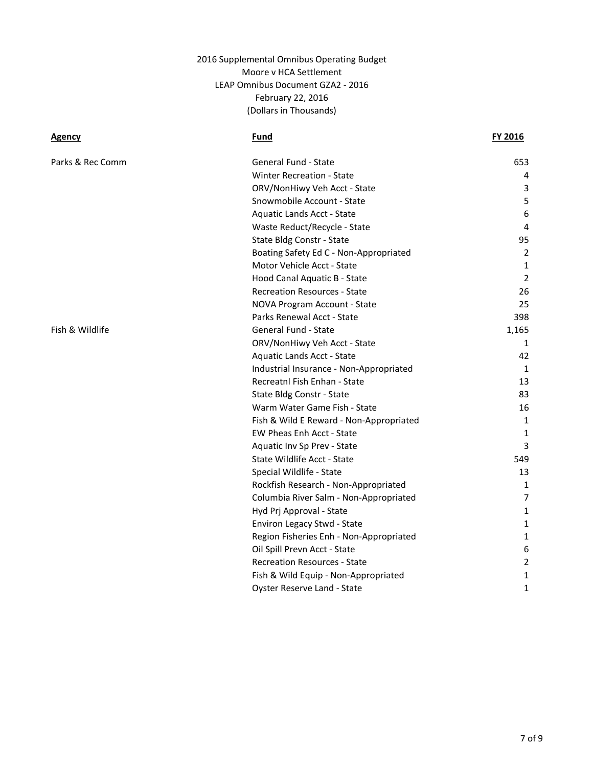| Parks & Rec Comm | <b>General Fund - State</b>             | 653   |
|------------------|-----------------------------------------|-------|
|                  | <b>Winter Recreation - State</b>        | 4     |
|                  | ORV/NonHiwy Veh Acct - State            | 3     |
|                  | Snowmobile Account - State              | 5     |
|                  | <b>Aquatic Lands Acct - State</b>       | 6     |
|                  | Waste Reduct/Recycle - State            | 4     |
|                  | State Bldg Constr - State               | 95    |
|                  | Boating Safety Ed C - Non-Appropriated  | 2     |
|                  | Motor Vehicle Acct - State              | 1     |
|                  | Hood Canal Aquatic B - State            | 2     |
|                  | <b>Recreation Resources - State</b>     | 26    |
|                  | NOVA Program Account - State            | 25    |
|                  | Parks Renewal Acct - State              | 398   |
| Fish & Wildlife  | General Fund - State                    | 1,165 |
|                  | ORV/NonHiwy Veh Acct - State            | 1     |
|                  | Aquatic Lands Acct - State              | 42    |
|                  | Industrial Insurance - Non-Appropriated | 1     |
|                  | Recreatnl Fish Enhan - State            | 13    |
|                  | State Bldg Constr - State               | 83    |
|                  | Warm Water Game Fish - State            | 16    |
|                  | Fish & Wild E Reward - Non-Appropriated | 1     |
|                  | EW Pheas Enh Acct - State               | 1     |
|                  | Aquatic Inv Sp Prev - State             | 3     |
|                  | State Wildlife Acct - State             | 549   |
|                  | Special Wildlife - State                | 13    |
|                  | Rockfish Research - Non-Appropriated    | 1     |
|                  | Columbia River Salm - Non-Appropriated  | 7     |
|                  | Hyd Prj Approval - State                | 1     |
|                  | Environ Legacy Stwd - State             | 1     |
|                  | Region Fisheries Enh - Non-Appropriated | 1     |
|                  | Oil Spill Prevn Acct - State            | 6     |
|                  | <b>Recreation Resources - State</b>     | 2     |
|                  | Fish & Wild Equip - Non-Appropriated    | 1     |
|                  | Oyster Reserve Land - State             | 1     |
|                  |                                         |       |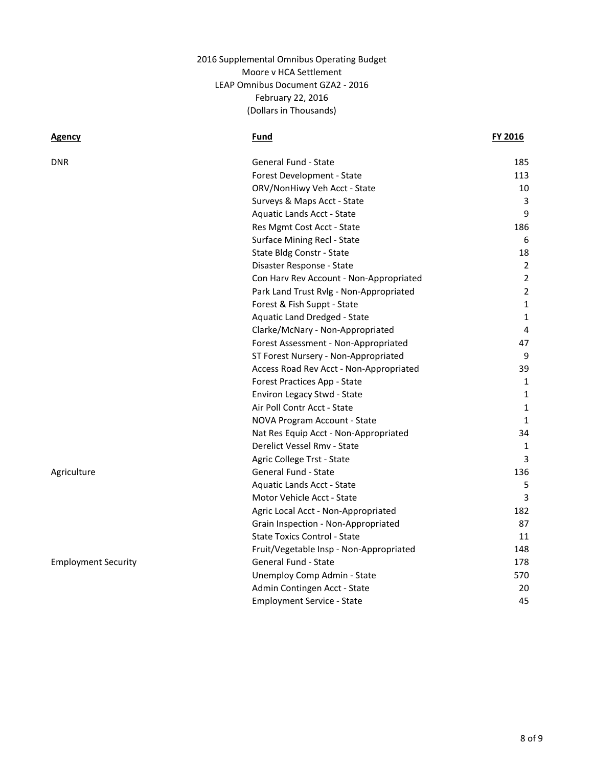| DNR                        | General Fund - State                    | 185            |
|----------------------------|-----------------------------------------|----------------|
|                            | Forest Development - State              | 113            |
|                            | ORV/NonHiwy Veh Acct - State            | 10             |
|                            | Surveys & Maps Acct - State             | 3              |
|                            | <b>Aquatic Lands Acct - State</b>       | 9              |
|                            | Res Mgmt Cost Acct - State              | 186            |
|                            | Surface Mining Recl - State             | 6              |
|                            | State Bldg Constr - State               | 18             |
|                            | Disaster Response - State               | $\overline{2}$ |
|                            | Con Harv Rev Account - Non-Appropriated | $\overline{2}$ |
|                            | Park Land Trust Rvlg - Non-Appropriated | $\overline{2}$ |
|                            | Forest & Fish Suppt - State             | $\mathbf{1}$   |
|                            | Aquatic Land Dredged - State            | $\mathbf{1}$   |
|                            | Clarke/McNary - Non-Appropriated        | 4              |
|                            | Forest Assessment - Non-Appropriated    | 47             |
|                            | ST Forest Nursery - Non-Appropriated    | 9              |
|                            | Access Road Rev Acct - Non-Appropriated | 39             |
|                            | Forest Practices App - State            | 1              |
|                            | Environ Legacy Stwd - State             | $\mathbf{1}$   |
|                            | Air Poll Contr Acct - State             | $\mathbf{1}$   |
|                            | NOVA Program Account - State            | $\mathbf{1}$   |
|                            | Nat Res Equip Acct - Non-Appropriated   | 34             |
|                            | Derelict Vessel Rmv - State             | 1              |
|                            | Agric College Trst - State              | 3              |
| Agriculture                | General Fund - State                    | 136            |
|                            | <b>Aquatic Lands Acct - State</b>       | 5              |
|                            | Motor Vehicle Acct - State              | 3              |
|                            | Agric Local Acct - Non-Appropriated     | 182            |
|                            | Grain Inspection - Non-Appropriated     | 87             |
|                            | <b>State Toxics Control - State</b>     | 11             |
|                            | Fruit/Vegetable Insp - Non-Appropriated | 148            |
| <b>Employment Security</b> | General Fund - State                    | 178            |
|                            | Unemploy Comp Admin - State             | 570            |
|                            | Admin Contingen Acct - State            | 20             |
|                            | <b>Employment Service - State</b>       | 45             |
|                            |                                         |                |